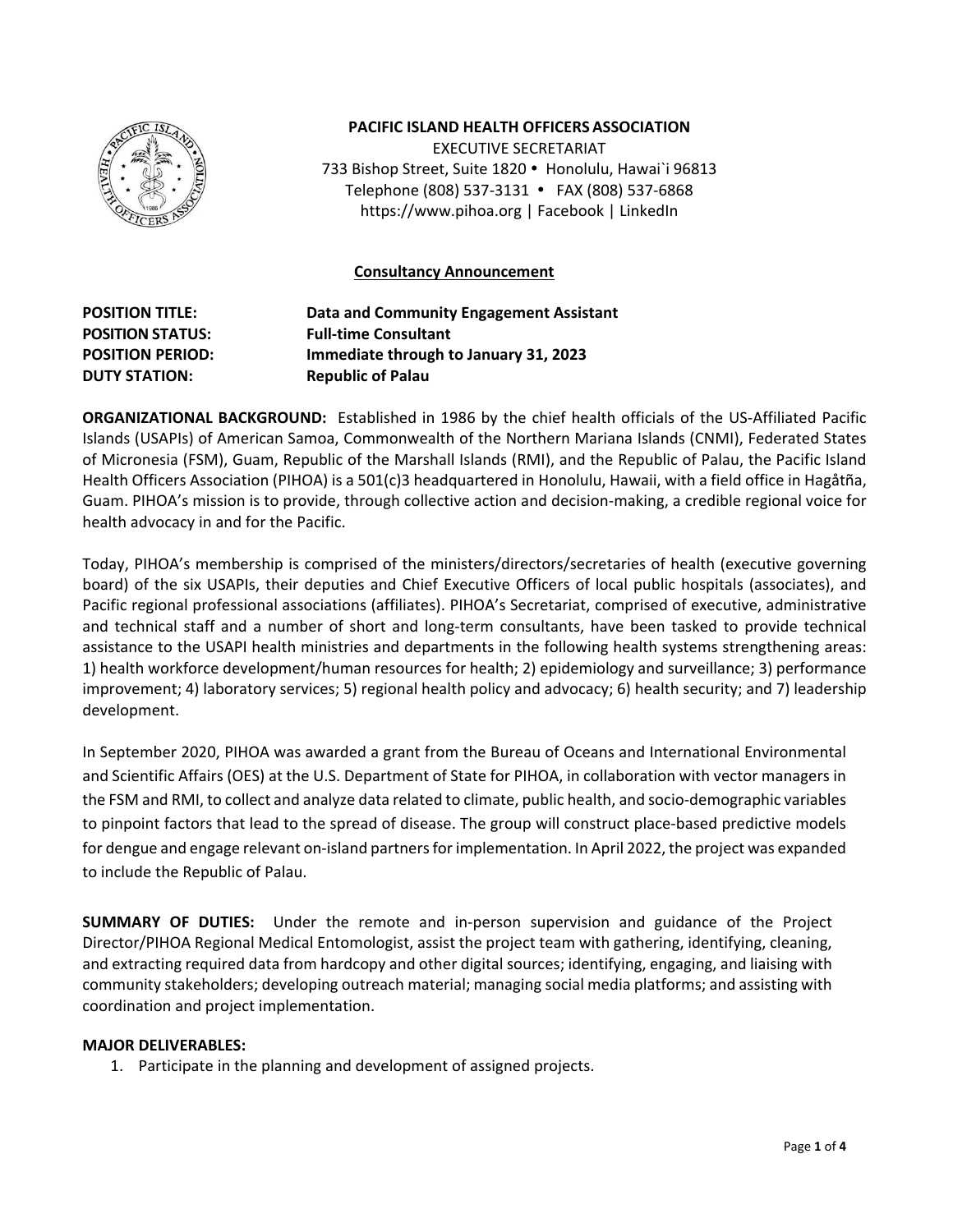

### **PACIFIC ISLAND HEALTH OFFICERSASSOCIATION**

EXECUTIVE SECRETARIAT 733 Bishop Street, Suite 1820 · Honolulu, Hawai`i 96813 Telephone (808) 537‐3131 FAX (808) 537‐6868 https://www.pihoa.org | Facebook | LinkedIn

### **Consultancy Announcement**

**POSITION TITLE: Data and Community Engagement Assistant POSITION STATUS: Full‐time Consultant POSITION PERIOD: Immediate through to January 31, 2023 DUTY STATION: Republic of Palau** 

**ORGANIZATIONAL BACKGROUND:** Established in 1986 by the chief health officials of the US‐Affiliated Pacific Islands (USAPIs) of American Samoa, Commonwealth of the Northern Mariana Islands (CNMI), Federated States of Micronesia (FSM), Guam, Republic of the Marshall Islands (RMI), and the Republic of Palau, the Pacific Island Health Officers Association (PIHOA) is a 501(c)3 headquartered in Honolulu, Hawaii, with a field office in Hagåtña, Guam. PIHOA's mission is to provide, through collective action and decision‐making, a credible regional voice for health advocacy in and for the Pacific.

Today, PIHOA's membership is comprised of the ministers/directors/secretaries of health (executive governing board) of the six USAPIs, their deputies and Chief Executive Officers of local public hospitals (associates), and Pacific regional professional associations (affiliates). PIHOA's Secretariat, comprised of executive, administrative and technical staff and a number of short and long-term consultants, have been tasked to provide technical assistance to the USAPI health ministries and departments in the following health systems strengthening areas: 1) health workforce development/human resources for health; 2) epidemiology and surveillance; 3) performance improvement; 4) laboratory services; 5) regional health policy and advocacy; 6) health security; and 7) leadership development.

In September 2020, PIHOA was awarded a grant from the Bureau of Oceans and International Environmental and Scientific Affairs (OES) at the U.S. Department of State for PIHOA, in collaboration with vector managers in the FSM and RMI, to collect and analyze data related to climate, public health, and socio‐demographic variables to pinpoint factors that lead to the spread of disease. The group will construct place‐based predictive models for dengue and engage relevant on-island partners for implementation. In April 2022, the project was expanded to include the Republic of Palau.

**SUMMARY OF DUTIES:**  Under the remote and in‐person supervision and guidance of the Project Director/PIHOA Regional Medical Entomologist, assist the project team with gathering, identifying, cleaning, and extracting required data from hardcopy and other digital sources; identifying, engaging, and liaising with community stakeholders; developing outreach material; managing social media platforms; and assisting with coordination and project implementation.

#### **MAJOR DELIVERABLES:**

1. Participate in the planning and development of assigned projects.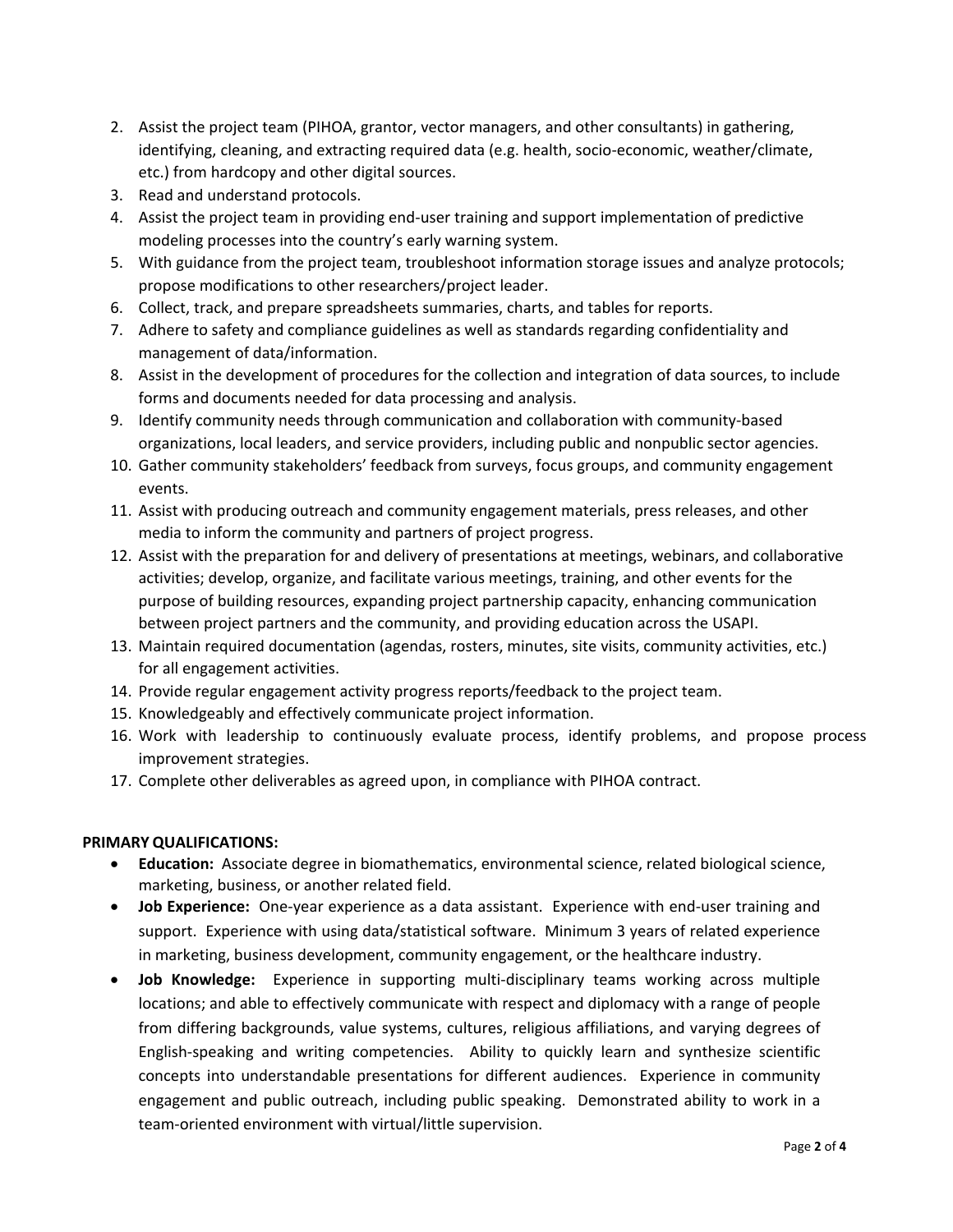- 2. Assist the project team (PIHOA, grantor, vector managers, and other consultants) in gathering, identifying, cleaning, and extracting required data (e.g. health, socio‐economic, weather/climate, etc.) from hardcopy and other digital sources.
- 3. Read and understand protocols.
- 4. Assist the project team in providing end‐user training and support implementation of predictive modeling processes into the country's early warning system.
- 5. With guidance from the project team, troubleshoot information storage issues and analyze protocols; propose modifications to other researchers/project leader.
- 6. Collect, track, and prepare spreadsheets summaries, charts, and tables for reports.
- 7. Adhere to safety and compliance guidelines as well as standards regarding confidentiality and management of data/information.
- 8. Assist in the development of procedures for the collection and integration of data sources, to include forms and documents needed for data processing and analysis.
- 9. Identify community needs through communication and collaboration with community-based organizations, local leaders, and service providers, including public and nonpublic sector agencies.
- 10. Gather community stakeholders' feedback from surveys, focus groups, and community engagement events.
- 11. Assist with producing outreach and community engagement materials, press releases, and other media to inform the community and partners of project progress.
- 12. Assist with the preparation for and delivery of presentations at meetings, webinars, and collaborative activities; develop, organize, and facilitate various meetings, training, and other events for the purpose of building resources, expanding project partnership capacity, enhancing communication between project partners and the community, and providing education across the USAPI.
- 13. Maintain required documentation (agendas, rosters, minutes, site visits, community activities, etc.) for all engagement activities.
- 14. Provide regular engagement activity progress reports/feedback to the project team.
- 15. Knowledgeably and effectively communicate project information.
- 16. Work with leadership to continuously evaluate process, identify problems, and propose process improvement strategies.
- 17. Complete other deliverables as agreed upon, in compliance with PIHOA contract.

# **PRIMARY QUALIFICATIONS:**

- **Education:** Associate degree in biomathematics, environmental science, related biological science, marketing, business, or another related field.
- **Job Experience:** One-year experience as a data assistant. Experience with end-user training and support. Experience with using data/statistical software. Minimum 3 years of related experience in marketing, business development, community engagement, or the healthcare industry.
- **• Job Knowledge:** Experience in supporting multi-disciplinary teams working across multiple locations; and able to effectively communicate with respect and diplomacy with a range of people from differing backgrounds, value systems, cultures, religious affiliations, and varying degrees of English-speaking and writing competencies. Ability to quickly learn and synthesize scientific concepts into understandable presentations for different audiences. Experience in community engagement and public outreach, including public speaking. Demonstrated ability to work in a team‐oriented environment with virtual/little supervision.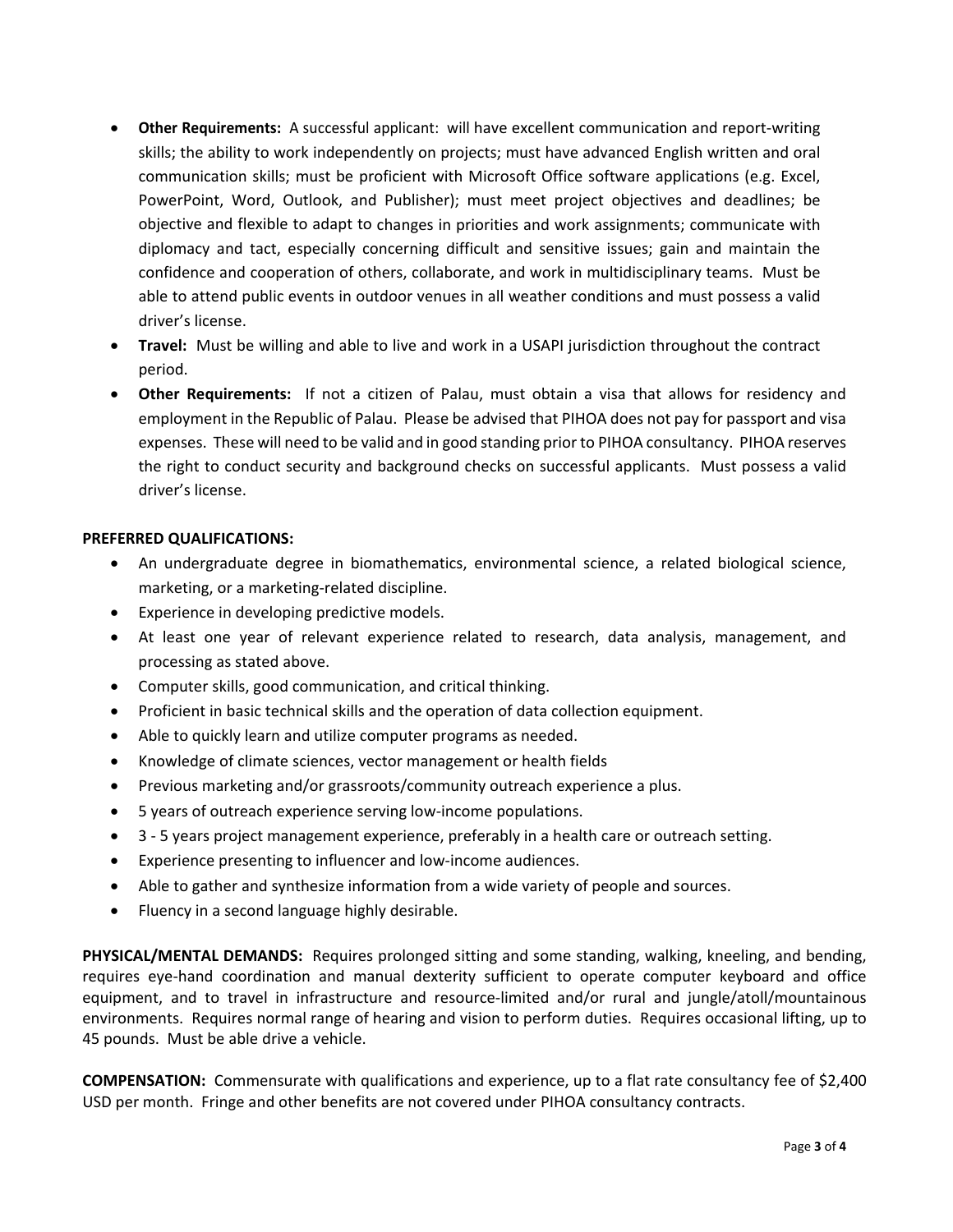- **Other Requirements:** A successful applicant: will have excellent communication and report‐writing skills; the ability to work independently on projects; must have advanced English written and oral communication skills; must be proficient with Microsoft Office software applications (e.g. Excel, PowerPoint, Word, Outlook, and Publisher); must meet project objectives and deadlines; be objective and flexible to adapt to changes in priorities and work assignments; communicate with diplomacy and tact, especially concerning difficult and sensitive issues; gain and maintain the confidence and cooperation of others, collaborate, and work in multidisciplinary teams. Must be able to attend public events in outdoor venues in all weather conditions and must possess a valid driver's license.
- **Travel:** Must be willing and able to live and work in a USAPI jurisdiction throughout the contract period.
- **Other Requirements:** If not a citizen of Palau, must obtain a visa that allows for residency and employment in the Republic of Palau. Please be advised that PIHOA does not pay for passport and visa expenses. These will need to be valid and in good standing prior to PIHOA consultancy. PIHOA reserves the right to conduct security and background checks on successful applicants. Must possess a valid driver's license.

# **PREFERRED QUALIFICATIONS:**

- An undergraduate degree in biomathematics, environmental science, a related biological science, marketing, or a marketing‐related discipline.
- Experience in developing predictive models.
- At least one year of relevant experience related to research, data analysis, management, and processing as stated above.
- Computer skills, good communication, and critical thinking.
- Proficient in basic technical skills and the operation of data collection equipment.
- Able to quickly learn and utilize computer programs as needed.
- Knowledge of climate sciences, vector management or health fields
- Previous marketing and/or grassroots/community outreach experience a plus.
- 5 years of outreach experience serving low-income populations.
- 3 5 years project management experience, preferably in a health care or outreach setting.
- Experience presenting to influencer and low‐income audiences.
- Able to gather and synthesize information from a wide variety of people and sources.
- Fluency in a second language highly desirable.

**PHYSICAL/MENTAL DEMANDS:** Requires prolonged sitting and some standing, walking, kneeling, and bending, requires eye‐hand coordination and manual dexterity sufficient to operate computer keyboard and office equipment, and to travel in infrastructure and resource‐limited and/or rural and jungle/atoll/mountainous environments. Requires normal range of hearing and vision to perform duties. Requires occasional lifting, up to 45 pounds. Must be able drive a vehicle.

**COMPENSATION:** Commensurate with qualifications and experience, up to a flat rate consultancy fee of \$2,400 USD per month. Fringe and other benefits are not covered under PIHOA consultancy contracts.